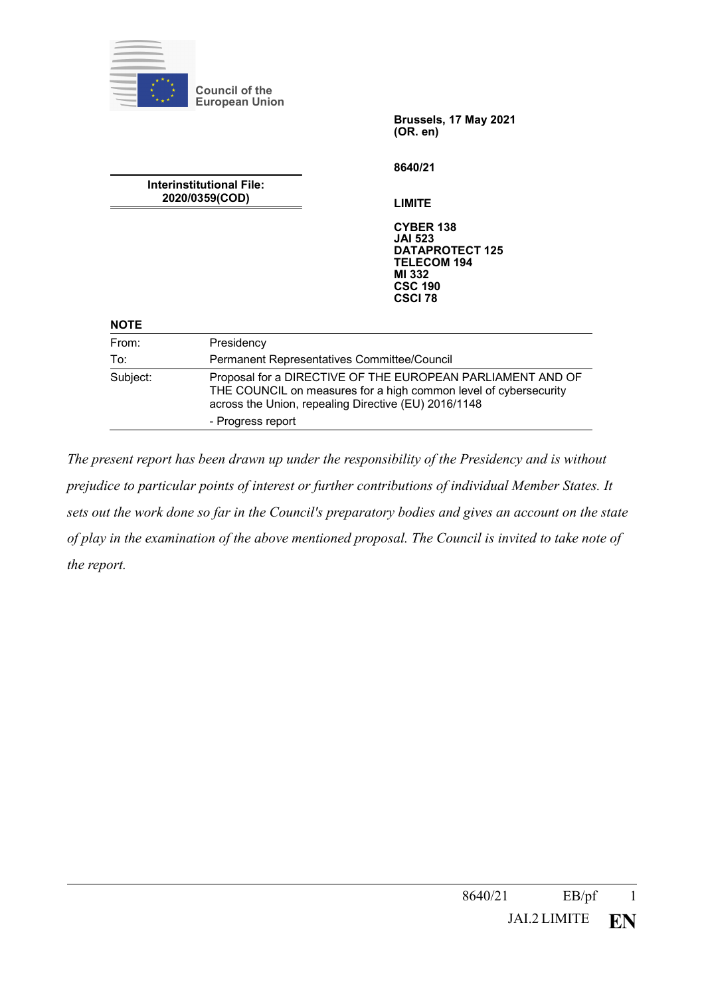|                                            | <b>Council of the</b><br><b>European Union</b>                                                                                                                                         |                                                                                                                                  |  |
|--------------------------------------------|----------------------------------------------------------------------------------------------------------------------------------------------------------------------------------------|----------------------------------------------------------------------------------------------------------------------------------|--|
|                                            |                                                                                                                                                                                        | Brussels, 17 May 2021<br>(OR. en)                                                                                                |  |
|                                            |                                                                                                                                                                                        | 8640/21                                                                                                                          |  |
| Interinstitutional File:<br>2020/0359(COD) |                                                                                                                                                                                        | <b>LIMITE</b>                                                                                                                    |  |
|                                            |                                                                                                                                                                                        | <b>CYBER 138</b><br><b>JAI 523</b><br><b>DATAPROTECT 125</b><br><b>TELECOM 194</b><br>MI 332<br><b>CSC 190</b><br><b>CSCI 78</b> |  |
| <b>NOTE</b>                                |                                                                                                                                                                                        |                                                                                                                                  |  |
| From:                                      | Presidency                                                                                                                                                                             |                                                                                                                                  |  |
| To:                                        |                                                                                                                                                                                        | Permanent Representatives Committee/Council                                                                                      |  |
| Subject:                                   | Proposal for a DIRECTIVE OF THE EUROPEAN PARLIAMENT AND OF<br>THE COUNCIL on measures for a high common level of cybersecurity<br>across the Union, repealing Directive (EU) 2016/1148 |                                                                                                                                  |  |
|                                            | - Progress report                                                                                                                                                                      |                                                                                                                                  |  |

*The present report has been drawn up under the responsibility of the Presidency and is without prejudice to particular points of interest or further contributions of individual Member States. It sets out the work done so far in the Council's preparatory bodies and gives an account on the state of play in the examination of the above mentioned proposal. The Council is invited to take note of the report.*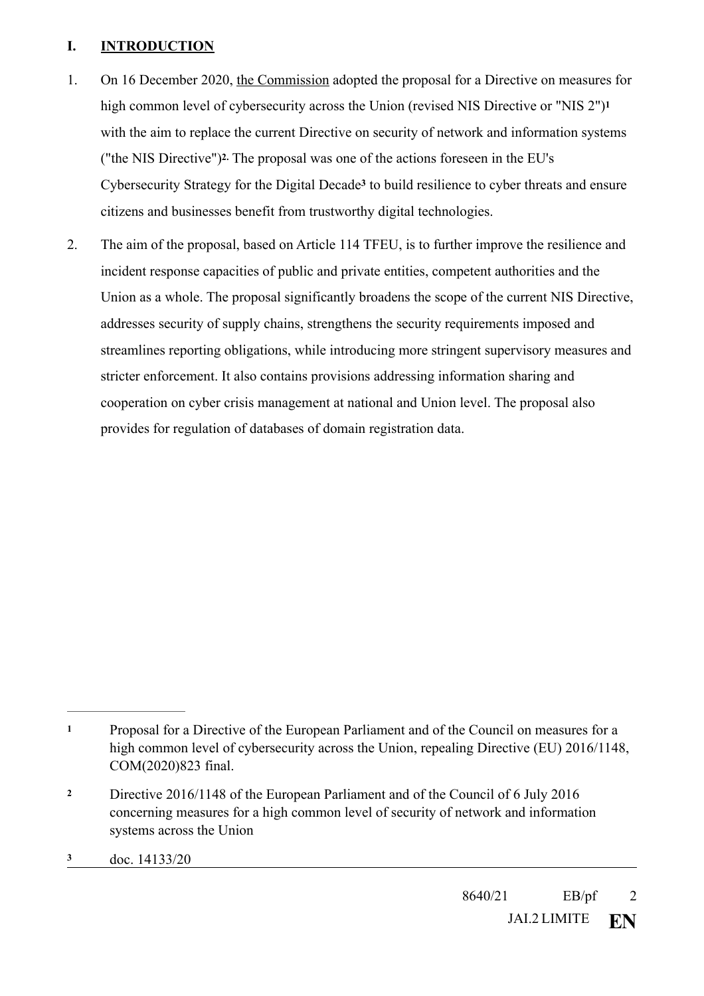## **I. INTRODUCTION**

- <span id="page-1-4"></span><span id="page-1-3"></span>1. On 16 December 2020, the Commission adopted the proposal for a Directive on measures for high common level of cybersecurity across the Union (revised NIS Directive or "NIS 2")**[1](#page-1-0)** with the aim to replace the current Directive on security of network and information systems ("the NIS Directive")<sup>[2](#page-1-1)</sup> The proposal was one of the actions foreseen in the EU's Cyb[e](#page-1-2)rsecurity Strategy for the Digital Decade<sup>3</sup> to build resilience to cyber threats and ensure citizens and businesses benefit from trustworthy digital technologies.
- <span id="page-1-5"></span>2. The aim of the proposal, based on Article 114 TFEU, is to further improve the resilience and incident response capacities of public and private entities, competent authorities and the Union as a whole. The proposal significantly broadens the scope of the current NIS Directive, addresses security of supply chains, strengthens the security requirements imposed and streamlines reporting obligations, while introducing more stringent supervisory measures and stricter enforcement. It also contains provisions addressing information sharing and cooperation on cyber crisis management at national and Union level. The proposal also provides for regulation of databases of domain registration data.

<span id="page-1-0"></span>Proposal for a Directive of the European Parliament and of the Council on measures for a **[1](#page-1-3)** high common level of cybersecurity across the Union, repealing Directive (EU) 2016/1148, COM(2020)823 final.

<span id="page-1-1"></span>Directive 2016/1148 of the European Parliament and of the Council of 6 July 2016 **[2](#page-1-4)** concerning measures for a high common level of security of network and information systems across the Union

<span id="page-1-2"></span>**[<sup>3</sup>](#page-1-5)** doc. 14133/20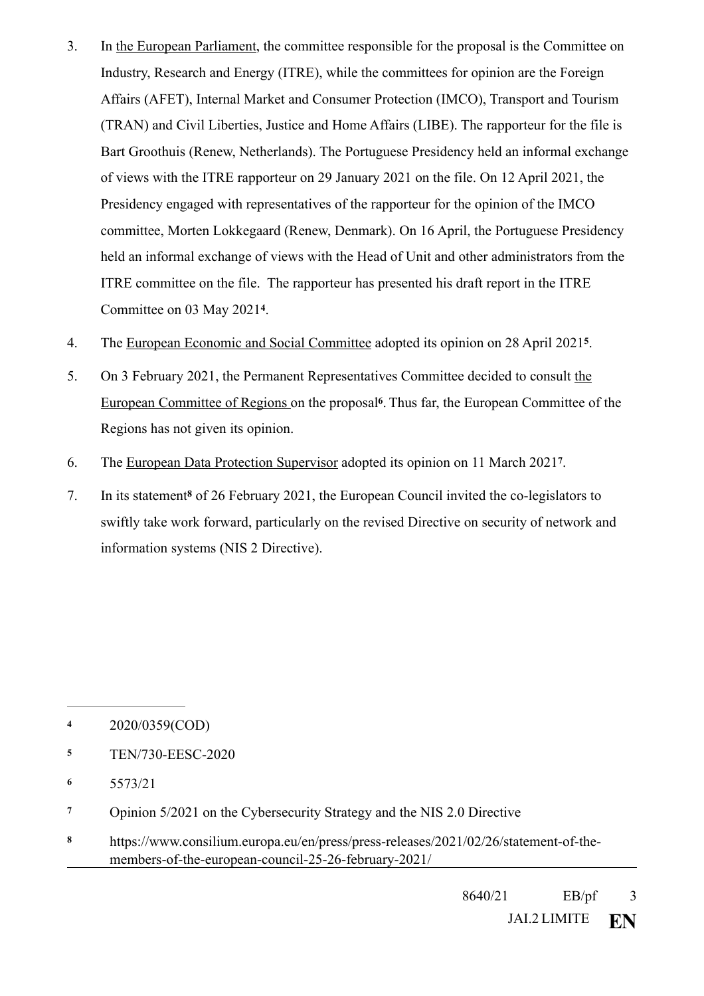- 3. In the European Parliament, the committee responsible for the proposal is the Committee on Industry, Research and Energy (ITRE), while the committees for opinion are the Foreign Affairs (AFET), Internal Market and Consumer Protection (IMCO), Transport and Tourism (TRAN) and Civil Liberties, Justice and Home Affairs (LIBE). The rapporteur for the file is Bart Groothuis (Renew, Netherlands). The Portuguese Presidency held an informal exchange of views with the ITRE rapporteur on 29 January 2021 on the file. On 12 April 2021, the Presidency engaged with representatives of the rapporteur for the opinion of the IMCO committee, Morten Lokkegaard (Renew, Denmark). On 16 April, the Portuguese Presidency held an informal exchange of views with the Head of Unit and other administrators from the ITRE committee on the file. The rapporteur has presented his draft report in the ITRE Committee on 03 May 2021<sup>[4](#page-2-0)</sup>.
- <span id="page-2-6"></span><span id="page-2-5"></span>4. The European Economic and Social Committee adopted its opinion on 28 April 2021<sup>[5](#page-2-1)</sup>.
- <span id="page-2-7"></span>5. On 3 February 2021, the Permanent Representatives Committee decided to consult the European Committee of Regions on the proposal<sup>[6](#page-2-2)</sup>. Thus far, the European Committee of the Regions has not given its opinion.
- <span id="page-2-8"></span>6. The European Data Protection Supervisor adopted its opinion on 11 March 2021<sup>[7](#page-2-3)</sup>.
- <span id="page-2-9"></span>7. In i[t](#page-2-4)s statement<sup>8</sup> of 26 February 2021, the European Council invited the co-legislators to swiftly take work forward, particularly on the revised Directive on security of network and information systems (NIS 2 Directive).

- <span id="page-2-1"></span>**[5](#page-2-6)** TEN/730-EESC-2020
- <span id="page-2-2"></span>**[6](#page-2-7)** 5573/21
- <span id="page-2-3"></span>**[7](#page-2-8)** Opinion 5/2021 on the Cybersecurity Strategy and the NIS 2.0 Directive
- <span id="page-2-4"></span>https://www.consilium.europa.eu/en/press/press-releases/2021/02/26/statement-of-the- **[8](#page-2-9)** members-of-the-european-council-25-26-february-2021/

<span id="page-2-0"></span><sup>2020/0359(</sup>COD) **[4](#page-2-5)**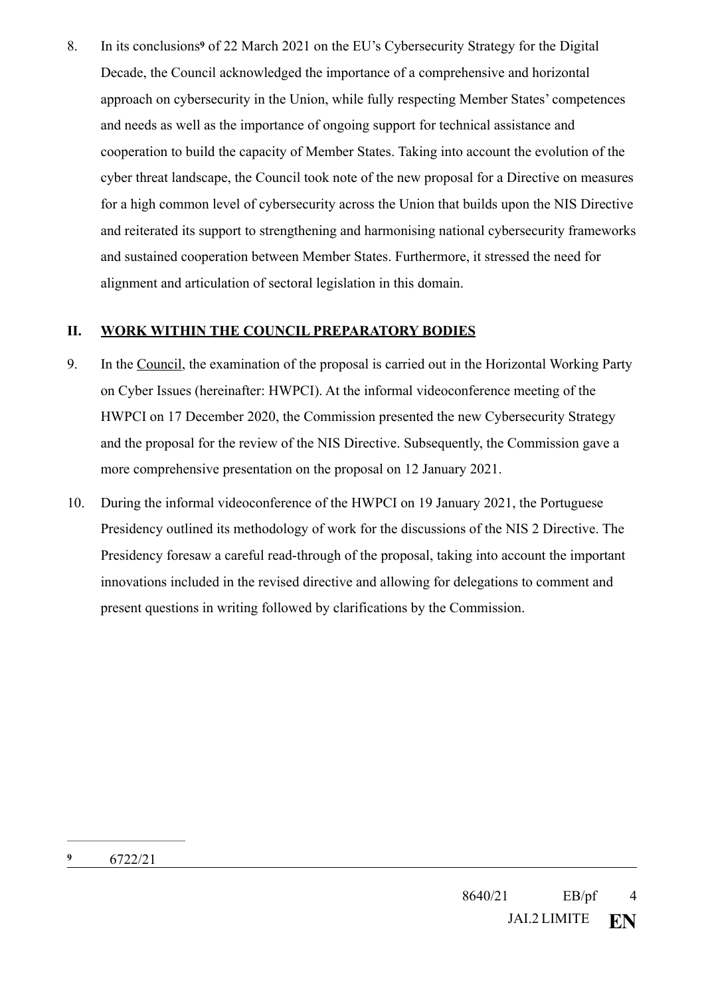<span id="page-3-1"></span>8. In it[s](#page-3-0) conclusions<sup>9</sup> of 22 March 2021 on the EU's Cybersecurity Strategy for the Digital Decade, the Council acknowledged the importance of a comprehensive and horizontal approach on cybersecurity in the Union, while fully respecting Member States' competences and needs as well as the importance of ongoing support for technical assistance and cooperation to build the capacity of Member States. Taking into account the evolution of the cyber threat landscape, the Council took note of the new proposal for a Directive on measures for a high common level of cybersecurity across the Union that builds upon the NIS Directive and reiterated its support to strengthening and harmonising national cybersecurity frameworks and sustained cooperation between Member States. Furthermore, it stressed the need for alignment and articulation of sectoral legislation in this domain.

## **II. WORK WITHIN THE COUNCIL PREPARATORY BODIES**

- 9. In the Council, the examination of the proposal is carried out in the Horizontal Working Party on Cyber Issues (hereinafter: HWPCI). At the informal videoconference meeting of the HWPCI on 17 December 2020, the Commission presented the new Cybersecurity Strategy and the proposal for the review of the NIS Directive. Subsequently, the Commission gave a more comprehensive presentation on the proposal on 12 January 2021.
- <span id="page-3-0"></span>10. During the informal videoconference of the HWPCI on 19 January 2021, the Portuguese Presidency outlined its methodology of work for the discussions of the NIS 2 Directive. The Presidency foresaw a careful read-through of the proposal, taking into account the important innovations included in the revised directive and allowing for delegations to comment and present questions in writing followed by clarifications by the Commission.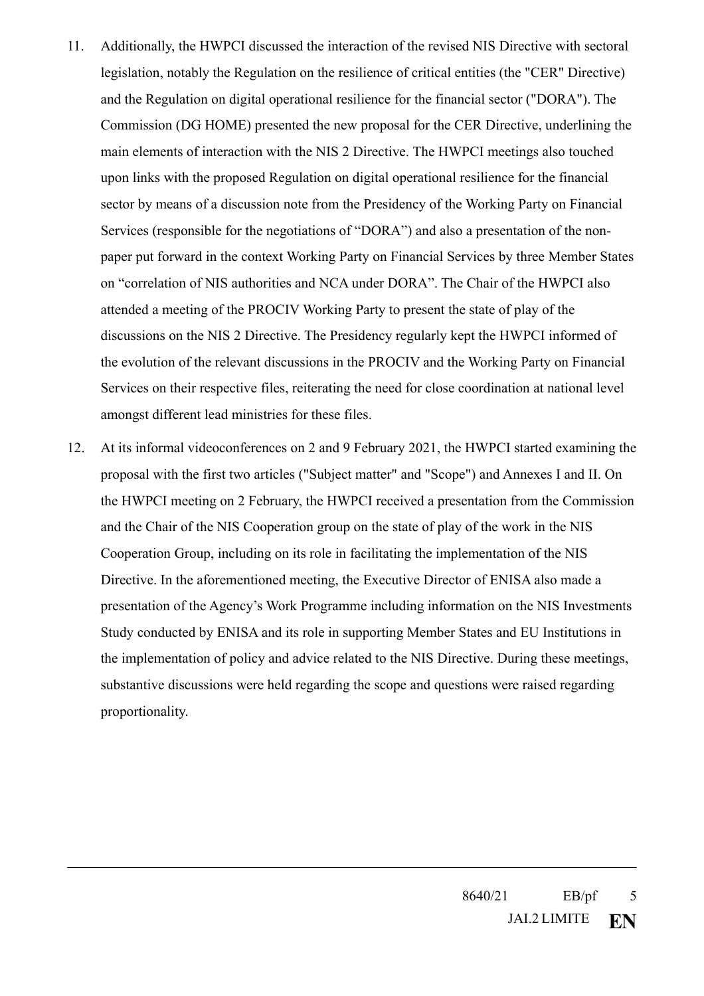- 11. Additionally, the HWPCI discussed the interaction of the revised NIS Directive with sectoral legislation, notably the Regulation on the resilience of critical entities (the "CER" Directive) and the Regulation on digital operational resilience for the financial sector ("DORA"). The Commission (DG HOME) presented the new proposal for the CER Directive, underlining the main elements of interaction with the NIS 2 Directive. The HWPCI meetings also touched upon links with the proposed Regulation on digital operational resilience for the financial sector by means of a discussion note from the Presidency of the Working Party on Financial Services (responsible for the negotiations of "DORA") and also a presentation of the nonpaper put forward in the context Working Party on Financial Services by three Member States on "correlation of NIS authorities and NCA under DORA". The Chair of the HWPCI also attended a meeting of the PROCIV Working Party to present the state of play of the discussions on the NIS 2 Directive. The Presidency regularly kept the HWPCI informed of the evolution of the relevant discussions in the PROCIV and the Working Party on Financial Services on their respective files, reiterating the need for close coordination at national level amongst different lead ministries for these files.
- 12. At its informal videoconferences on 2 and 9 February 2021, the HWPCI started examining the proposal with the first two articles ("Subject matter" and "Scope") and Annexes I and II. On the HWPCI meeting on 2 February, the HWPCI received a presentation from the Commission and the Chair of the NIS Cooperation group on the state of play of the work in the NIS Cooperation Group, including on its role in facilitating the implementation of the NIS Directive. In the aforementioned meeting, the Executive Director of ENISA also made a presentation of the Agency's Work Programme including information on the NIS Investments Study conducted by ENISA and its role in supporting Member States and EU Institutions in the implementation of policy and advice related to the NIS Directive. During these meetings, substantive discussions were held regarding the scope and questions were raised regarding proportionality.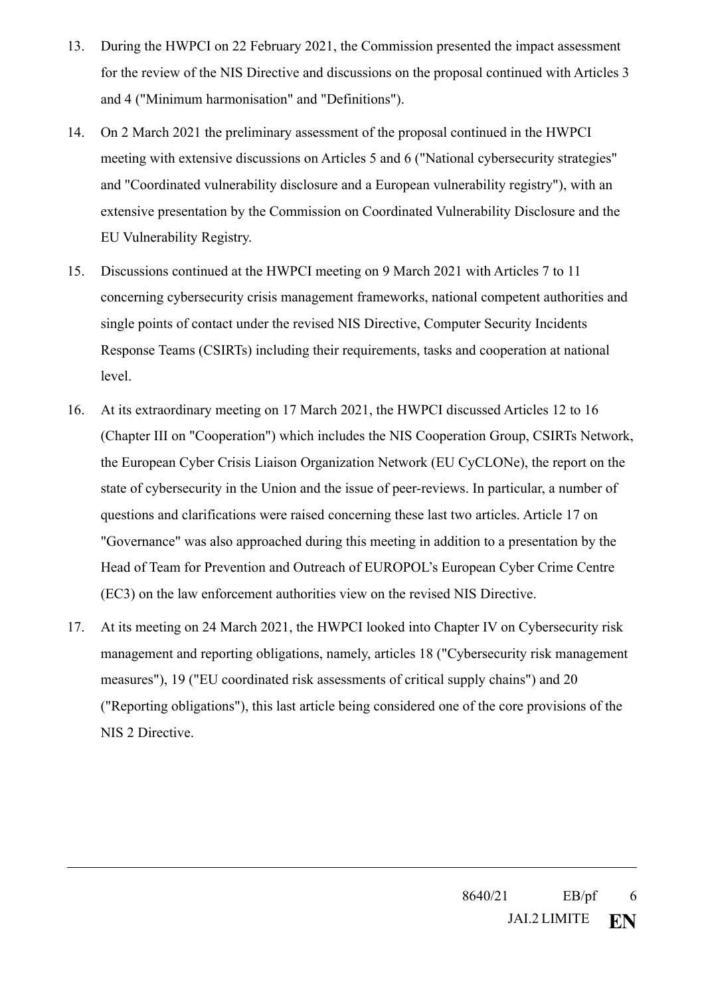- 13. During the HWPCI on 22 February 2021, the Commission presented the impact assessment for the review of the NIS Directive and discussions on the proposal continued with Articles 3 and 4 ("Minimum harmonisation" and "Definitions").
- 14. On 2 March 2021 the preliminary assessment of the proposal continued in the HWPCI meeting with extensive discussions on Articles 5 and 6 ("National cybersecurity strategies" and "Coordinated vulnerability disclosure and a European vulnerability registry"), with an extensive presentation by the Commission on Coordinated Vulnerability Disclosure and the EU Vulnerability Registry.
- 15. Discussions continued at the HWPCI meeting on 9 March 2021 with Articles 7 to 11 concerning cybersecurity crisis management frameworks, national competent authorities and single points of contact under the revised NIS Directive, Computer Security Incidents Response Teams (CSIRTs) including their requirements, tasks and cooperation at national level.
- 16. At its extraordinary meeting on 17 March 2021, the HWPCI discussed Articles 12 to 16 (Chapter III on "Cooperation") which includes the NIS Cooperation Group, CSIRTs Network, the European Cyber Crisis Liaison Organization Network (EU CyCLONe), the report on the state of cybersecurity in the Union and the issue of peer-reviews. In particular, a number of questions and clarifications were raised concerning these last two articles. Article 17 on "Governance" was also approached during this meeting in addition to a presentation by the Head of Team for Prevention and Outreach of EUROPOL's European Cyber Crime Centre (EC3) on the law enforcement authorities view on the revised NIS Directive.
- 17. At its meeting on 24 March 2021, the HWPCI looked into Chapter IV on Cybersecurity risk management and reporting obligations, namely, articles 18 ("Cybersecurity risk management measures"), 19 ("EU coordinated risk assessments of critical supply chains") and 20 ("Reporting obligations"), this last article being considered one of the core provisions of the NIS 2 Directive.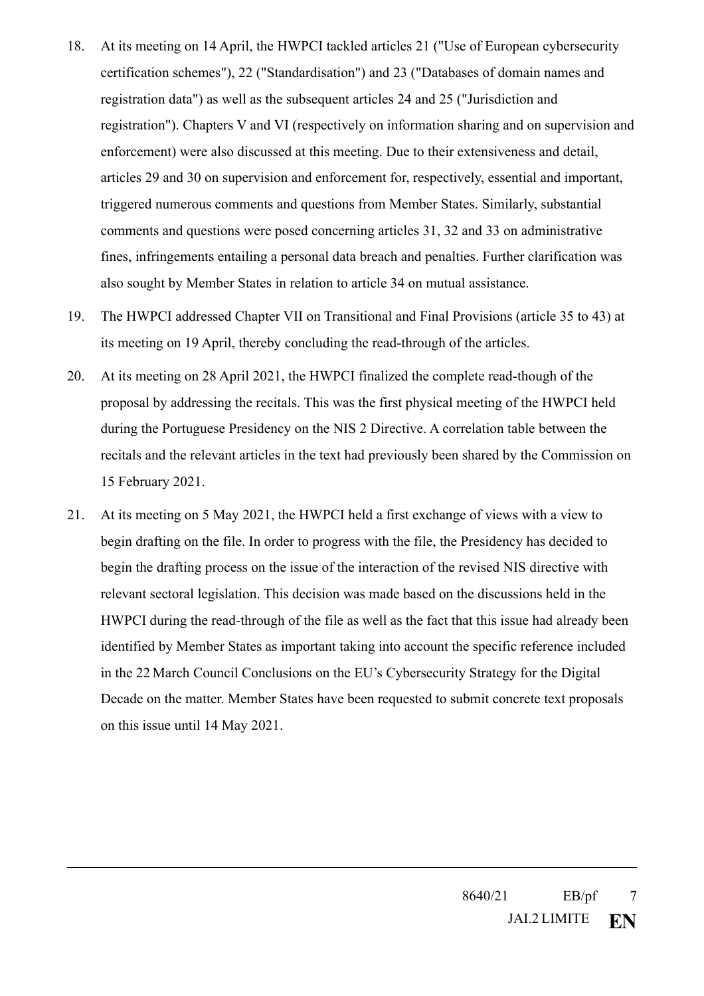- 18. At its meeting on 14 April, the HWPCI tackled articles 21 ("Use of European cybersecurity certification schemes"), 22 ("Standardisation") and 23 ("Databases of domain names and registration data") as well as the subsequent articles 24 and 25 ("Jurisdiction and registration"). Chapters V and VI (respectively on information sharing and on supervision and enforcement) were also discussed at this meeting. Due to their extensiveness and detail, articles 29 and 30 on supervision and enforcement for, respectively, essential and important, triggered numerous comments and questions from Member States. Similarly, substantial comments and questions were posed concerning articles 31, 32 and 33 on administrative fines, infringements entailing a personal data breach and penalties. Further clarification was also sought by Member States in relation to article 34 on mutual assistance.
- 19. The HWPCI addressed Chapter VII on Transitional and Final Provisions (article 35 to 43) at its meeting on 19 April, thereby concluding the read-through of the articles.
- 20. At its meeting on 28 April 2021, the HWPCI finalized the complete read-though of the proposal by addressing the recitals. This was the first physical meeting of the HWPCI held during the Portuguese Presidency on the NIS 2 Directive. A correlation table between the recitals and the relevant articles in the text had previously been shared by the Commission on 15 February 2021.
- 21. At its meeting on 5 May 2021, the HWPCI held a first exchange of views with a view to begin drafting on the file. In order to progress with the file, the Presidency has decided to begin the drafting process on the issue of the interaction of the revised NIS directive with relevant sectoral legislation. This decision was made based on the discussions held in the HWPCI during the read-through of the file as well as the fact that this issue had already been identified by Member States as important taking into account the specific reference included in the 22 March Council Conclusions on the EU's Cybersecurity Strategy for the Digital Decade on the matter. Member States have been requested to submit concrete text proposals on this issue until 14 May 2021.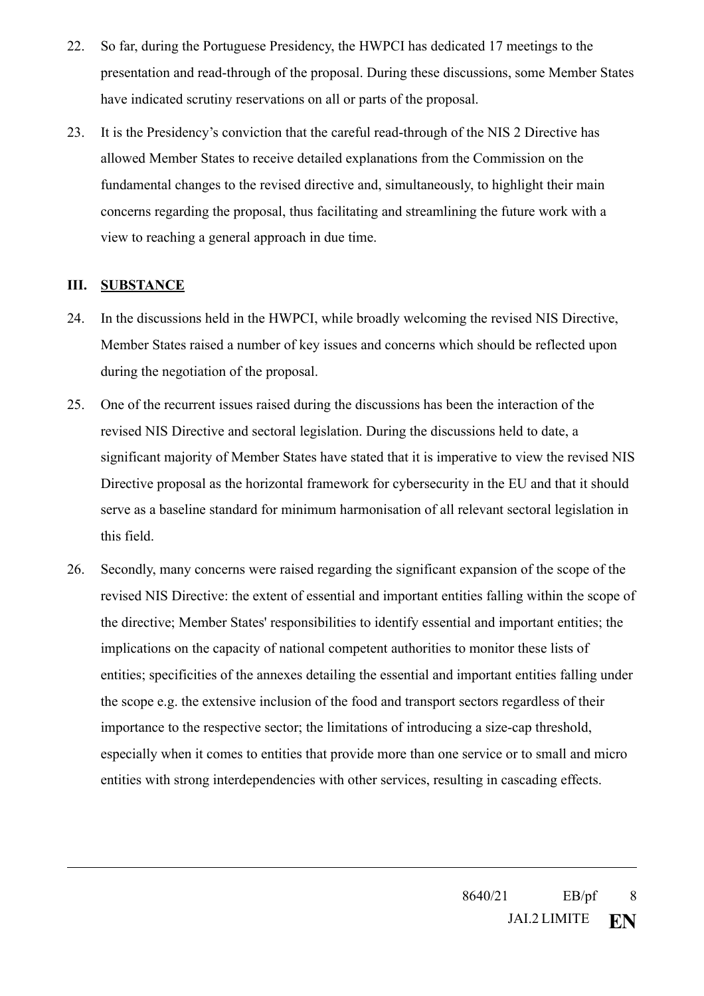- 22. So far, during the Portuguese Presidency, the HWPCI has dedicated 17 meetings to the presentation and read-through of the proposal. During these discussions, some Member States have indicated scrutiny reservations on all or parts of the proposal.
- 23. It is the Presidency's conviction that the careful read-through of the NIS 2 Directive has allowed Member States to receive detailed explanations from the Commission on the fundamental changes to the revised directive and, simultaneously, to highlight their main concerns regarding the proposal, thus facilitating and streamlining the future work with a view to reaching a general approach in due time.

## **III. SUBSTANCE**

- 24. In the discussions held in the HWPCI, while broadly welcoming the revised NIS Directive, Member States raised a number of key issues and concerns which should be reflected upon during the negotiation of the proposal.
- 25. One of the recurrent issues raised during the discussions has been the interaction of the revised NIS Directive and sectoral legislation. During the discussions held to date, a significant majority of Member States have stated that it is imperative to view the revised NIS Directive proposal as the horizontal framework for cybersecurity in the EU and that it should serve as a baseline standard for minimum harmonisation of all relevant sectoral legislation in this field.
- 26. Secondly, many concerns were raised regarding the significant expansion of the scope of the revised NIS Directive: the extent of essential and important entities falling within the scope of the directive; Member States' responsibilities to identify essential and important entities; the implications on the capacity of national competent authorities to monitor these lists of entities; specificities of the annexes detailing the essential and important entities falling under the scope e.g. the extensive inclusion of the food and transport sectors regardless of their importance to the respective sector; the limitations of introducing a size-cap threshold, especially when it comes to entities that provide more than one service or to small and micro entities with strong interdependencies with other services, resulting in cascading effects.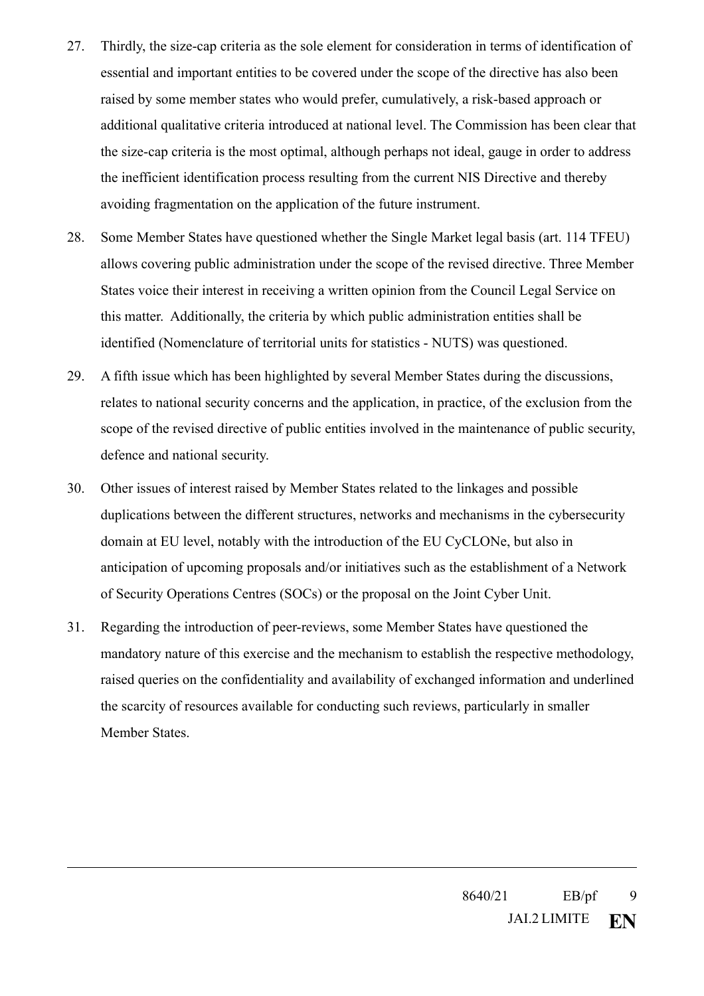- 27. Thirdly, the size-cap criteria as the sole element for consideration in terms of identification of essential and important entities to be covered under the scope of the directive has also been raised by some member states who would prefer, cumulatively, a risk-based approach or additional qualitative criteria introduced at national level. The Commission has been clear that the size-cap criteria is the most optimal, although perhaps not ideal, gauge in order to address the inefficient identification process resulting from the current NIS Directive and thereby avoiding fragmentation on the application of the future instrument.
- 28. Some Member States have questioned whether the Single Market legal basis (art. 114 TFEU) allows covering public administration under the scope of the revised directive. Three Member States voice their interest in receiving a written opinion from the Council Legal Service on this matter. Additionally, the criteria by which public administration entities shall be identified (Nomenclature of territorial units for statistics - NUTS) was questioned.
- 29. A fifth issue which has been highlighted by several Member States during the discussions, relates to national security concerns and the application, in practice, of the exclusion from the scope of the revised directive of public entities involved in the maintenance of public security, defence and national security.
- 30. Other issues of interest raised by Member States related to the linkages and possible duplications between the different structures, networks and mechanisms in the cybersecurity domain at EU level, notably with the introduction of the EU CyCLONe, but also in anticipation of upcoming proposals and/or initiatives such as the establishment of a Network of Security Operations Centres (SOCs) or the proposal on the Joint Cyber Unit.
- 31. Regarding the introduction of peer-reviews, some Member States have questioned the mandatory nature of this exercise and the mechanism to establish the respective methodology, raised queries on the confidentiality and availability of exchanged information and underlined the scarcity of resources available for conducting such reviews, particularly in smaller Member States.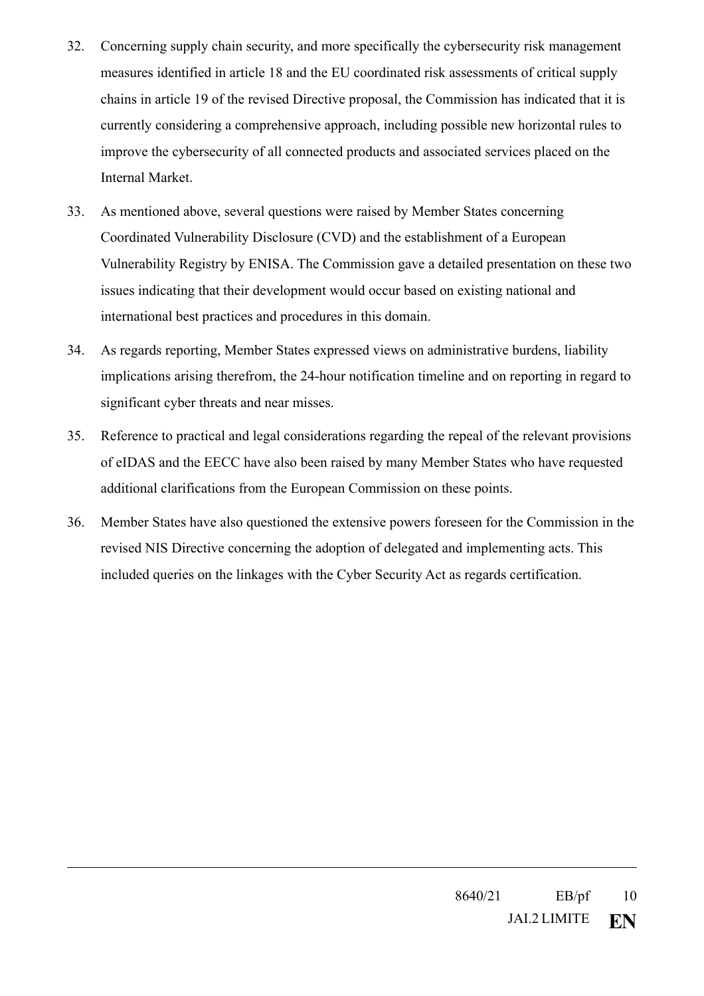- 32. Concerning supply chain security, and more specifically the cybersecurity risk management measures identified in article 18 and the EU coordinated risk assessments of critical supply chains in article 19 of the revised Directive proposal, the Commission has indicated that it is currently considering a comprehensive approach, including possible new horizontal rules to improve the cybersecurity of all connected products and associated services placed on the Internal Market.
- 33. As mentioned above, several questions were raised by Member States concerning Coordinated Vulnerability Disclosure (CVD) and the establishment of a European Vulnerability Registry by ENISA. The Commission gave a detailed presentation on these two issues indicating that their development would occur based on existing national and international best practices and procedures in this domain.
- 34. As regards reporting, Member States expressed views on administrative burdens, liability implications arising therefrom, the 24-hour notification timeline and on reporting in regard to significant cyber threats and near misses.
- 35. Reference to practical and legal considerations regarding the repeal of the relevant provisions of eIDAS and the EECC have also been raised by many Member States who have requested additional clarifications from the European Commission on these points.
- 36. Member States have also questioned the extensive powers foreseen for the Commission in the revised NIS Directive concerning the adoption of delegated and implementing acts. This included queries on the linkages with the Cyber Security Act as regards certification.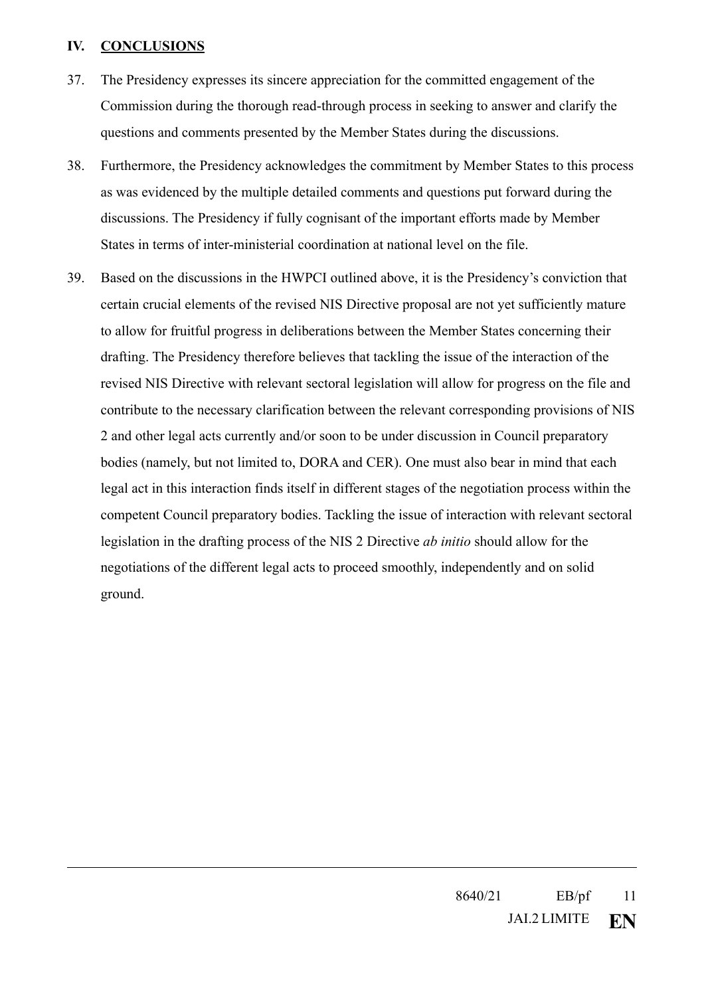## **IV. CONCLUSIONS**

- 37. The Presidency expresses its sincere appreciation for the committed engagement of the Commission during the thorough read-through process in seeking to answer and clarify the questions and comments presented by the Member States during the discussions.
- 38. Furthermore, the Presidency acknowledges the commitment by Member States to this process as was evidenced by the multiple detailed comments and questions put forward during the discussions. The Presidency if fully cognisant of the important efforts made by Member States in terms of inter-ministerial coordination at national level on the file.
- 39. Based on the discussions in the HWPCI outlined above, it is the Presidency's conviction that certain crucial elements of the revised NIS Directive proposal are not yet sufficiently mature to allow for fruitful progress in deliberations between the Member States concerning their drafting. The Presidency therefore believes that tackling the issue of the interaction of the revised NIS Directive with relevant sectoral legislation will allow for progress on the file and contribute to the necessary clarification between the relevant corresponding provisions of NIS 2 and other legal acts currently and/or soon to be under discussion in Council preparatory bodies (namely, but not limited to, DORA and CER). One must also bear in mind that each legal act in this interaction finds itself in different stages of the negotiation process within the competent Council preparatory bodies. Tackling the issue of interaction with relevant sectoral legislation in the drafting process of the NIS 2 Directive *ab initio* should allow for the negotiations of the different legal acts to proceed smoothly, independently and on solid ground.